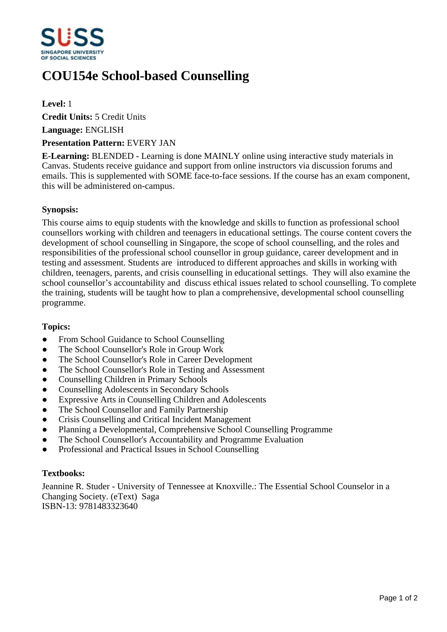

# **COU154e School-based Counselling**

## **Level:** 1

**Credit Units:** 5 Credit Units

**Language:** ENGLISH

## **Presentation Pattern:** EVERY JAN

**E-Learning:** BLENDED - Learning is done MAINLY online using interactive study materials in Canvas. Students receive guidance and support from online instructors via discussion forums and emails. This is supplemented with SOME face-to-face sessions. If the course has an exam component, this will be administered on-campus.

## **Synopsis:**

This course aims to equip students with the knowledge and skills to function as professional school counsellors working with children and teenagers in educational settings. The course content covers the development of school counselling in Singapore, the scope of school counselling, and the roles and responsibilities of the professional school counsellor in group guidance, career development and in testing and assessment. Students are introduced to different approaches and skills in working with children, teenagers, parents, and crisis counselling in educational settings. They will also examine the school counsellor's accountability and discuss ethical issues related to school counselling. To complete the training, students will be taught how to plan a comprehensive, developmental school counselling programme.

# **Topics:**

- From School Guidance to School Counselling
- The School Counsellor's Role in Group Work
- The School Counsellor's Role in Career Development
- The School Counsellor's Role in Testing and Assessment
- Counselling Children in Primary Schools
- ƔCounselling Adolescents in Secondary Schools
- Expressive Arts in Counselling Children and Adolescents
- The School Counsellor and Family Partnership
- Crisis Counselling and Critical Incident Management
- Planning a Developmental, Comprehensive School Counselling Programme
- The School Counsellor's Accountability and Programme Evaluation
- Professional and Practical Issues in School Counselling

# **Textbooks:**

Jeannine R. Studer - University of Tennessee at Knoxville.: The Essential School Counselor in a Changing Society. (eText) Saga ISBN-13: 9781483323640